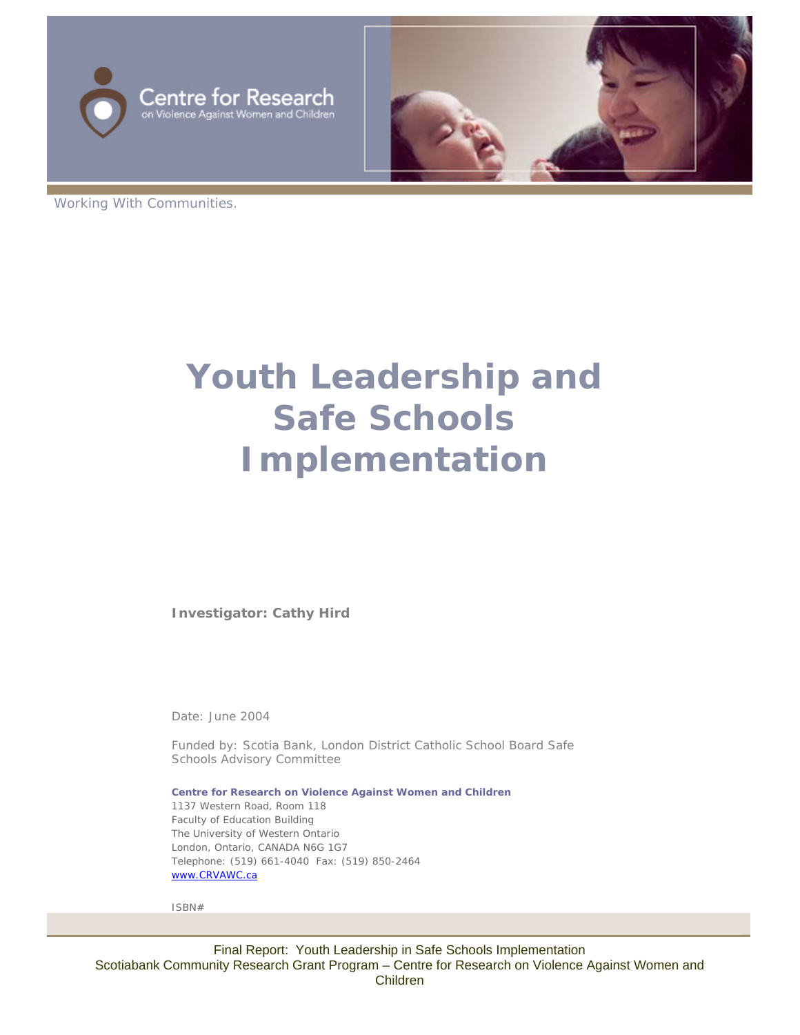



Working With Communities.

# **Youth Leadership and Safe Schools Implementation**

**Investigator: Cathy Hird**

Date: June 2004

Funded by: Scotia Bank, London District Catholic School Board Safe Schools Advisory Committee

**Centre for Research on Violence Against Women and Children** 1137 Western Road, Room 118 Faculty of Education Building The University of Western Ontario London, Ontario, CANADA N6G 1G7 Telephone: (519) 661-4040 Fax: (519) 850-2464 [www.CRVAWC.ca](http://www.crvawc.ca/)

ISBN#

Final Report: Youth Leadership in Safe Schools Implementation Scotiabank Community Research Grant Program – Centre for Research on Violence Against Women and Children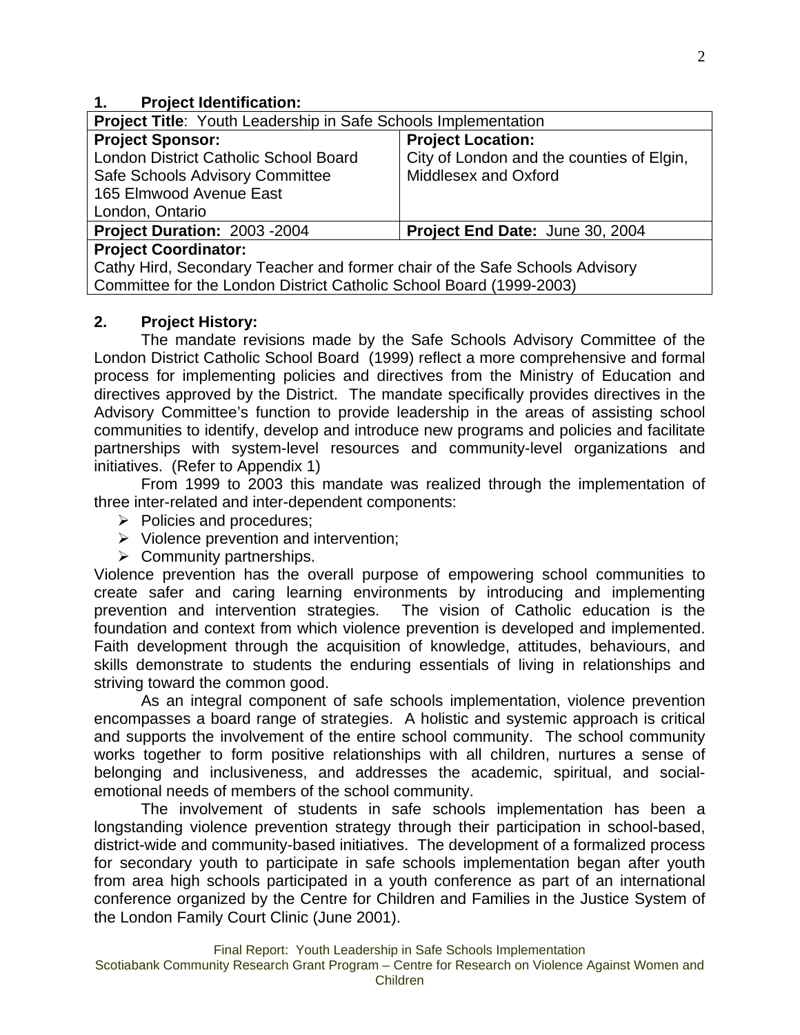## **1. Project Identification:**

| <b>Project Title: Youth Leadership in Safe Schools Implementation</b>       |                                           |  |  |  |
|-----------------------------------------------------------------------------|-------------------------------------------|--|--|--|
| <b>Project Sponsor:</b>                                                     | <b>Project Location:</b>                  |  |  |  |
| London District Catholic School Board                                       | City of London and the counties of Elgin, |  |  |  |
| Safe Schools Advisory Committee                                             | Middlesex and Oxford                      |  |  |  |
| 165 Elmwood Avenue East                                                     |                                           |  |  |  |
| London, Ontario                                                             |                                           |  |  |  |
| Project Duration: 2003 - 2004                                               | Project End Date: June 30, 2004           |  |  |  |
| <b>Project Coordinator:</b>                                                 |                                           |  |  |  |
| Cathy Hird, Secondary Teacher and former chair of the Safe Schools Advisory |                                           |  |  |  |
| Committee for the London District Catholic School Board (1999-2003)         |                                           |  |  |  |

# **2. Project History:**

The mandate revisions made by the Safe Schools Advisory Committee of the London District Catholic School Board (1999) reflect a more comprehensive and formal process for implementing policies and directives from the Ministry of Education and directives approved by the District. The mandate specifically provides directives in the Advisory Committee's function to provide leadership in the areas of assisting school communities to identify, develop and introduce new programs and policies and facilitate partnerships with system-level resources and community-level organizations and initiatives. (Refer to Appendix 1)

From 1999 to 2003 this mandate was realized through the implementation of three inter-related and inter-dependent components:

- $\triangleright$  Policies and procedures;
- $\triangleright$  Violence prevention and intervention;
- $\triangleright$  Community partnerships.

Violence prevention has the overall purpose of empowering school communities to create safer and caring learning environments by introducing and implementing prevention and intervention strategies. The vision of Catholic education is the foundation and context from which violence prevention is developed and implemented. Faith development through the acquisition of knowledge, attitudes, behaviours, and skills demonstrate to students the enduring essentials of living in relationships and striving toward the common good.

 As an integral component of safe schools implementation, violence prevention encompasses a board range of strategies. A holistic and systemic approach is critical and supports the involvement of the entire school community. The school community works together to form positive relationships with all children, nurtures a sense of belonging and inclusiveness, and addresses the academic, spiritual, and socialemotional needs of members of the school community.

 The involvement of students in safe schools implementation has been a longstanding violence prevention strategy through their participation in school-based, district-wide and community-based initiatives. The development of a formalized process for secondary youth to participate in safe schools implementation began after youth from area high schools participated in a youth conference as part of an international conference organized by the Centre for Children and Families in the Justice System of the London Family Court Clinic (June 2001).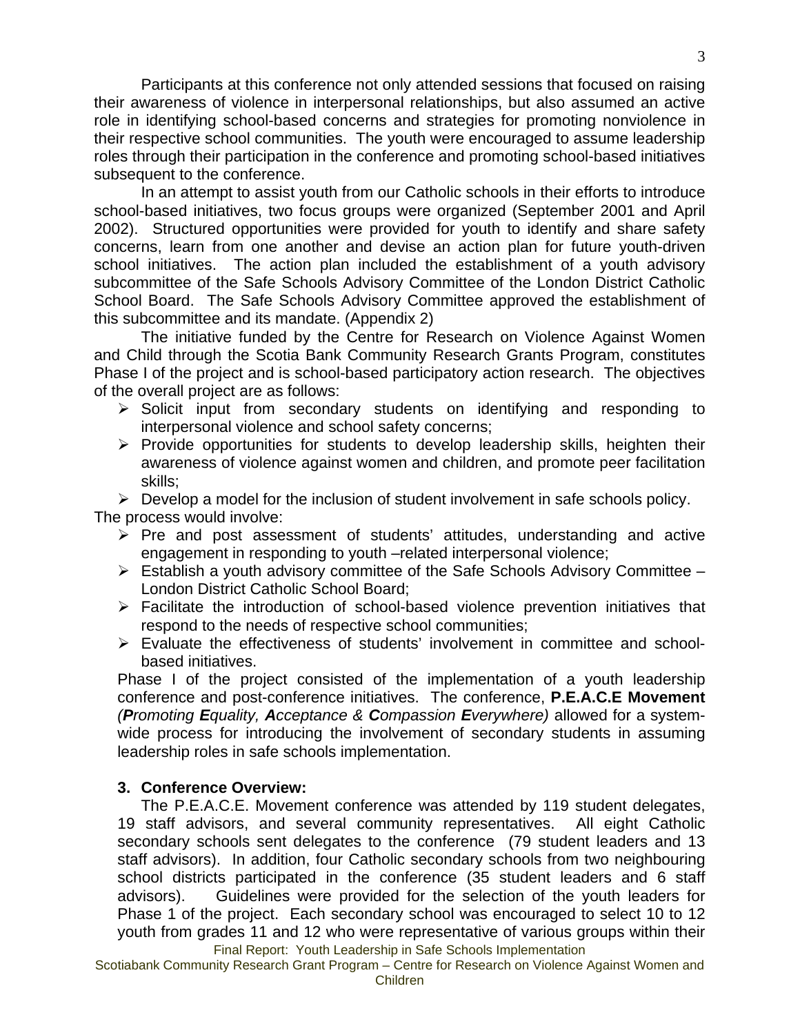Participants at this conference not only attended sessions that focused on raising their awareness of violence in interpersonal relationships, but also assumed an active role in identifying school-based concerns and strategies for promoting nonviolence in their respective school communities. The youth were encouraged to assume leadership roles through their participation in the conference and promoting school-based initiatives subsequent to the conference.

 In an attempt to assist youth from our Catholic schools in their efforts to introduce school-based initiatives, two focus groups were organized (September 2001 and April 2002). Structured opportunities were provided for youth to identify and share safety concerns, learn from one another and devise an action plan for future youth-driven school initiatives. The action plan included the establishment of a youth advisory subcommittee of the Safe Schools Advisory Committee of the London District Catholic School Board. The Safe Schools Advisory Committee approved the establishment of this subcommittee and its mandate. (Appendix 2)

 The initiative funded by the Centre for Research on Violence Against Women and Child through the Scotia Bank Community Research Grants Program, constitutes Phase I of the project and is school-based participatory action research. The objectives of the overall project are as follows:

- ¾ Solicit input from secondary students on identifying and responding to interpersonal violence and school safety concerns;
- $\triangleright$  Provide opportunities for students to develop leadership skills, heighten their awareness of violence against women and children, and promote peer facilitation skills;

 $\triangleright$  Develop a model for the inclusion of student involvement in safe schools policy. The process would involve:

- $\triangleright$  Pre and post assessment of students' attitudes, understanding and active engagement in responding to youth –related interpersonal violence;
- $\triangleright$  Establish a youth advisory committee of the Safe Schools Advisory Committee London District Catholic School Board;
- $\triangleright$  Facilitate the introduction of school-based violence prevention initiatives that respond to the needs of respective school communities;
- ¾ Evaluate the effectiveness of students' involvement in committee and schoolbased initiatives.

Phase I of the project consisted of the implementation of a youth leadership conference and post-conference initiatives. The conference, **P.E.A.C.E Movement** *(Promoting Equality, Acceptance & Compassion Everywhere)* allowed for a systemwide process for introducing the involvement of secondary students in assuming leadership roles in safe schools implementation.

# **3. Conference Overview:**

Final Report: Youth Leadership in Safe Schools Implementation The P.E.A.C.E. Movement conference was attended by 119 student delegates, 19 staff advisors, and several community representatives. All eight Catholic secondary schools sent delegates to the conference (79 student leaders and 13 staff advisors). In addition, four Catholic secondary schools from two neighbouring school districts participated in the conference (35 student leaders and 6 staff advisors). Guidelines were provided for the selection of the youth leaders for Phase 1 of the project. Each secondary school was encouraged to select 10 to 12 youth from grades 11 and 12 who were representative of various groups within their

Scotiabank Community Research Grant Program – Centre for Research on Violence Against Women and Children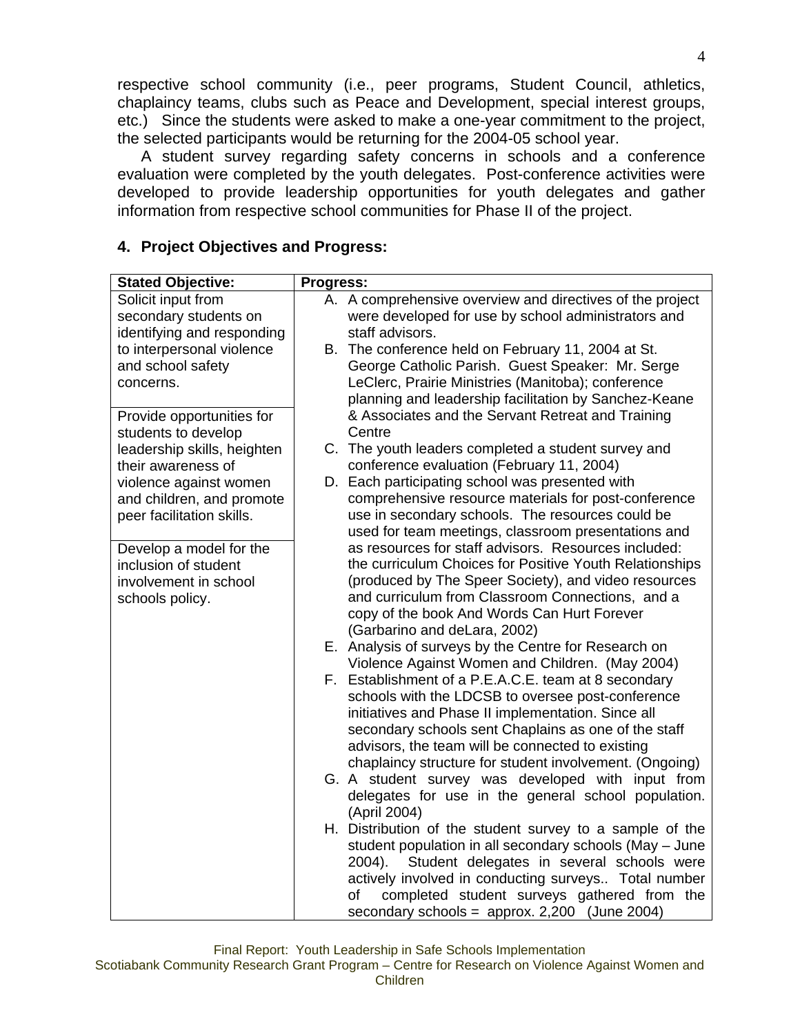respective school community (i.e., peer programs, Student Council, athletics, chaplaincy teams, clubs such as Peace and Development, special interest groups, etc.) Since the students were asked to make a one-year commitment to the project, the selected participants would be returning for the 2004-05 school year.

 A student survey regarding safety concerns in schools and a conference evaluation were completed by the youth delegates. Post-conference activities were developed to provide leadership opportunities for youth delegates and gather information from respective school communities for Phase II of the project.

| <b>Stated Objective:</b>    | Progress:                                                                                               |  |  |  |  |
|-----------------------------|---------------------------------------------------------------------------------------------------------|--|--|--|--|
| Solicit input from          | A. A comprehensive overview and directives of the project                                               |  |  |  |  |
| secondary students on       | were developed for use by school administrators and                                                     |  |  |  |  |
| identifying and responding  | staff advisors.                                                                                         |  |  |  |  |
| to interpersonal violence   | B. The conference held on February 11, 2004 at St.                                                      |  |  |  |  |
| and school safety           | George Catholic Parish. Guest Speaker: Mr. Serge                                                        |  |  |  |  |
| concerns.                   | LeClerc, Prairie Ministries (Manitoba); conference                                                      |  |  |  |  |
|                             | planning and leadership facilitation by Sanchez-Keane                                                   |  |  |  |  |
| Provide opportunities for   | & Associates and the Servant Retreat and Training                                                       |  |  |  |  |
| students to develop         | Centre                                                                                                  |  |  |  |  |
| leadership skills, heighten | C. The youth leaders completed a student survey and                                                     |  |  |  |  |
| their awareness of          | conference evaluation (February 11, 2004)                                                               |  |  |  |  |
| violence against women      | D. Each participating school was presented with                                                         |  |  |  |  |
| and children, and promote   | comprehensive resource materials for post-conference                                                    |  |  |  |  |
| peer facilitation skills.   | use in secondary schools. The resources could be                                                        |  |  |  |  |
|                             | used for team meetings, classroom presentations and                                                     |  |  |  |  |
| Develop a model for the     | as resources for staff advisors. Resources included:                                                    |  |  |  |  |
| inclusion of student        | the curriculum Choices for Positive Youth Relationships                                                 |  |  |  |  |
| involvement in school       | (produced by The Speer Society), and video resources                                                    |  |  |  |  |
| schools policy.             | and curriculum from Classroom Connections, and a                                                        |  |  |  |  |
|                             | copy of the book And Words Can Hurt Forever                                                             |  |  |  |  |
|                             | (Garbarino and deLara, 2002)                                                                            |  |  |  |  |
|                             | E. Analysis of surveys by the Centre for Research on                                                    |  |  |  |  |
|                             | Violence Against Women and Children. (May 2004)<br>F. Establishment of a P.E.A.C.E. team at 8 secondary |  |  |  |  |
|                             | schools with the LDCSB to oversee post-conference                                                       |  |  |  |  |
|                             | initiatives and Phase II implementation. Since all                                                      |  |  |  |  |
|                             | secondary schools sent Chaplains as one of the staff                                                    |  |  |  |  |
|                             | advisors, the team will be connected to existing                                                        |  |  |  |  |
|                             | chaplaincy structure for student involvement. (Ongoing)                                                 |  |  |  |  |
|                             | G. A student survey was developed with input from                                                       |  |  |  |  |
|                             | delegates for use in the general school population.                                                     |  |  |  |  |
|                             | (April 2004)                                                                                            |  |  |  |  |
|                             | H. Distribution of the student survey to a sample of the                                                |  |  |  |  |
|                             | student population in all secondary schools (May - June                                                 |  |  |  |  |
|                             | Student delegates in several schools were<br>$2004$ ).                                                  |  |  |  |  |
|                             | actively involved in conducting surveys Total number                                                    |  |  |  |  |
|                             | completed student surveys gathered from the<br>of                                                       |  |  |  |  |
|                             | secondary schools = $approx. 2,200$ (June 2004)                                                         |  |  |  |  |

## **4. Project Objectives and Progress:**

Final Report: Youth Leadership in Safe Schools Implementation Scotiabank Community Research Grant Program – Centre for Research on Violence Against Women and Children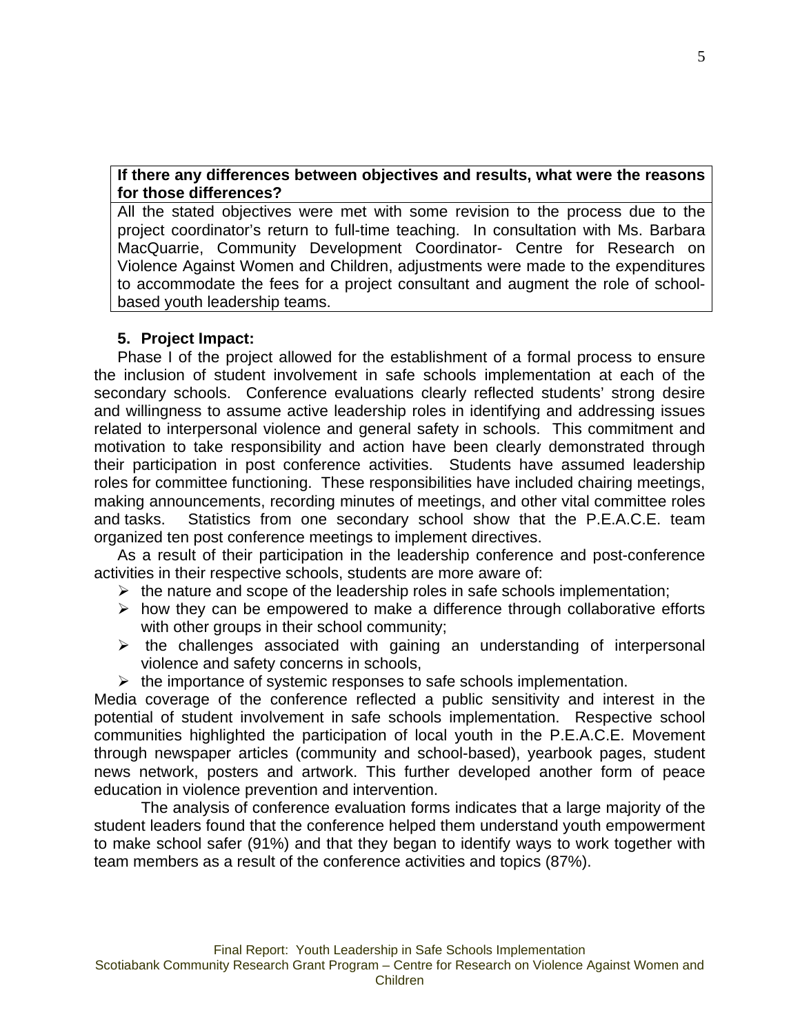## **If there any differences between objectives and results, what were the reasons for those differences?**

All the stated objectives were met with some revision to the process due to the project coordinator's return to full-time teaching. In consultation with Ms. Barbara MacQuarrie, Community Development Coordinator- Centre for Research on Violence Against Women and Children, adjustments were made to the expenditures to accommodate the fees for a project consultant and augment the role of schoolbased youth leadership teams.

# **5. Project Impact:**

Phase I of the project allowed for the establishment of a formal process to ensure the inclusion of student involvement in safe schools implementation at each of the secondary schools. Conference evaluations clearly reflected students' strong desire and willingness to assume active leadership roles in identifying and addressing issues related to interpersonal violence and general safety in schools. This commitment and motivation to take responsibility and action have been clearly demonstrated through their participation in post conference activities. Students have assumed leadership roles for committee functioning. These responsibilities have included chairing meetings, making announcements, recording minutes of meetings, and other vital committee roles and tasks. Statistics from one secondary school show that the P.E.A.C.E. team organized ten post conference meetings to implement directives.

As a result of their participation in the leadership conference and post-conference activities in their respective schools, students are more aware of:

- $\triangleright$  the nature and scope of the leadership roles in safe schools implementation;
- $\triangleright$  how they can be empowered to make a difference through collaborative efforts with other groups in their school community;
- $\triangleright$  the challenges associated with gaining an understanding of interpersonal violence and safety concerns in schools,
- $\triangleright$  the importance of systemic responses to safe schools implementation.

Media coverage of the conference reflected a public sensitivity and interest in the potential of student involvement in safe schools implementation. Respective school communities highlighted the participation of local youth in the P.E.A.C.E. Movement through newspaper articles (community and school-based), yearbook pages, student news network, posters and artwork. This further developed another form of peace education in violence prevention and intervention.

 The analysis of conference evaluation forms indicates that a large majority of the student leaders found that the conference helped them understand youth empowerment to make school safer (91%) and that they began to identify ways to work together with team members as a result of the conference activities and topics (87%).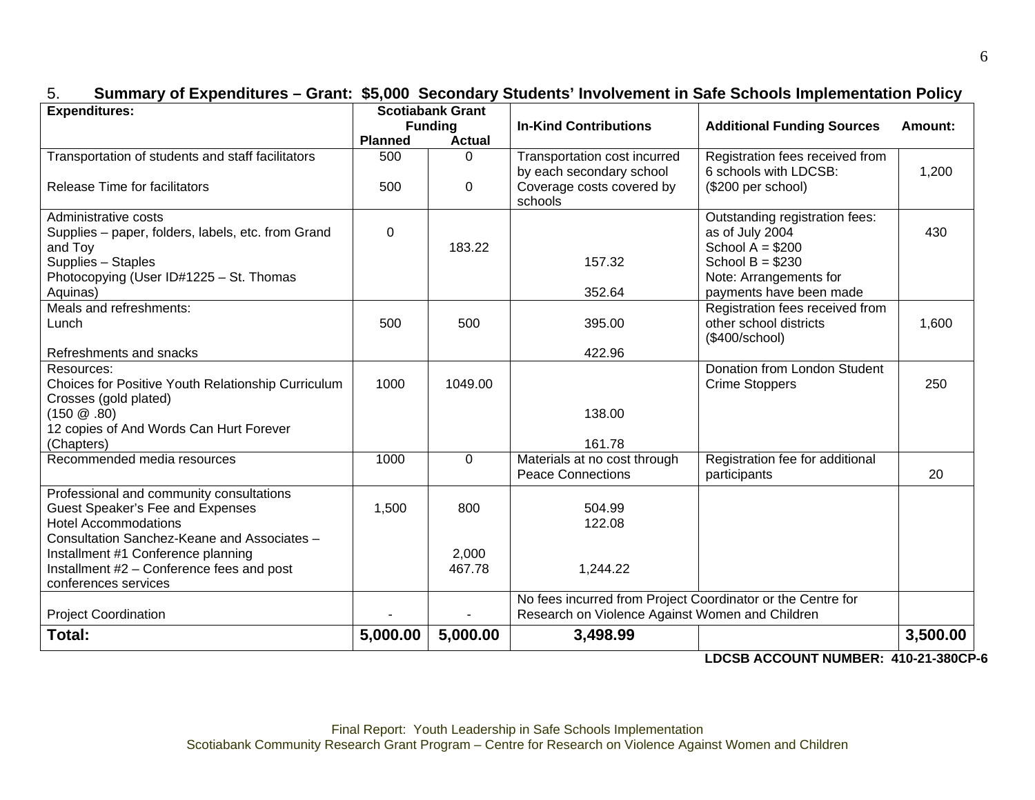| <b>Expenditures:</b>                                                                      | <b>Scotiabank Grant</b><br><b>Funding</b> |                 | <b>In-Kind Contributions</b>                                                          | <b>Additional Funding Sources</b>                                              | Amount:  |
|-------------------------------------------------------------------------------------------|-------------------------------------------|-----------------|---------------------------------------------------------------------------------------|--------------------------------------------------------------------------------|----------|
|                                                                                           |                                           |                 |                                                                                       |                                                                                |          |
|                                                                                           | <b>Planned</b>                            | <b>Actual</b>   |                                                                                       |                                                                                |          |
| Transportation of students and staff facilitators<br><b>Release Time for facilitators</b> | 500<br>500                                | $\Omega$<br>0   | Transportation cost incurred<br>by each secondary school<br>Coverage costs covered by | Registration fees received from<br>6 schools with LDCSB:<br>(\$200 per school) | 1,200    |
|                                                                                           |                                           |                 | schools                                                                               |                                                                                |          |
| Administrative costs                                                                      |                                           |                 |                                                                                       | Outstanding registration fees:                                                 |          |
| Supplies - paper, folders, labels, etc. from Grand                                        | $\Omega$                                  |                 |                                                                                       | as of July 2004                                                                | 430      |
| and Toy                                                                                   |                                           | 183.22          | 157.32                                                                                | School $A = $200$<br>School $B = $230$                                         |          |
| Supplies - Staples<br>Photocopying (User ID#1225 - St. Thomas                             |                                           |                 |                                                                                       | Note: Arrangements for                                                         |          |
| Aquinas)                                                                                  |                                           |                 | 352.64                                                                                | payments have been made                                                        |          |
| Meals and refreshments:                                                                   |                                           |                 |                                                                                       | Registration fees received from                                                |          |
| Lunch                                                                                     | 500                                       | 500             | 395.00                                                                                | other school districts                                                         | 1,600    |
|                                                                                           |                                           |                 |                                                                                       | (\$400/school)                                                                 |          |
| Refreshments and snacks                                                                   |                                           |                 | 422.96                                                                                |                                                                                |          |
| Resources:                                                                                |                                           |                 |                                                                                       | Donation from London Student                                                   |          |
| Choices for Positive Youth Relationship Curriculum                                        | 1000                                      | 1049.00         |                                                                                       | <b>Crime Stoppers</b>                                                          | 250      |
| Crosses (gold plated)<br>$(150 \ @.80)$                                                   |                                           |                 | 138.00                                                                                |                                                                                |          |
| 12 copies of And Words Can Hurt Forever                                                   |                                           |                 |                                                                                       |                                                                                |          |
| (Chapters)                                                                                |                                           |                 | 161.78                                                                                |                                                                                |          |
| Recommended media resources                                                               | 1000                                      | $\mathbf 0$     | Materials at no cost through                                                          | Registration fee for additional                                                |          |
|                                                                                           |                                           |                 | <b>Peace Connections</b>                                                              | participants                                                                   | 20       |
| Professional and community consultations                                                  |                                           |                 |                                                                                       |                                                                                |          |
| Guest Speaker's Fee and Expenses                                                          | 1,500                                     | 800             | 504.99                                                                                |                                                                                |          |
| <b>Hotel Accommodations</b>                                                               |                                           |                 | 122.08                                                                                |                                                                                |          |
| Consultation Sanchez-Keane and Associates -                                               |                                           |                 |                                                                                       |                                                                                |          |
| Installment #1 Conference planning                                                        |                                           | 2,000<br>467.78 | 1,244.22                                                                              |                                                                                |          |
| Installment #2 - Conference fees and post<br>conferences services                         |                                           |                 |                                                                                       |                                                                                |          |
|                                                                                           |                                           |                 | No fees incurred from Project Coordinator or the Centre for                           |                                                                                |          |
| <b>Project Coordination</b>                                                               |                                           |                 | Research on Violence Against Women and Children                                       |                                                                                |          |
| Total:                                                                                    | 5,000.00                                  | 5,000.00        | 3,498.99                                                                              |                                                                                | 3,500.00 |
|                                                                                           |                                           |                 |                                                                                       | 1000010001117111117777                                                         |          |

# 5. **Summary of Expenditures – Grant: \$5,000 Secondary Students' Involvement in Safe Schools Implementation Policy**

**LDCSB ACCOUNT NUMBER: 410-21-380CP-6**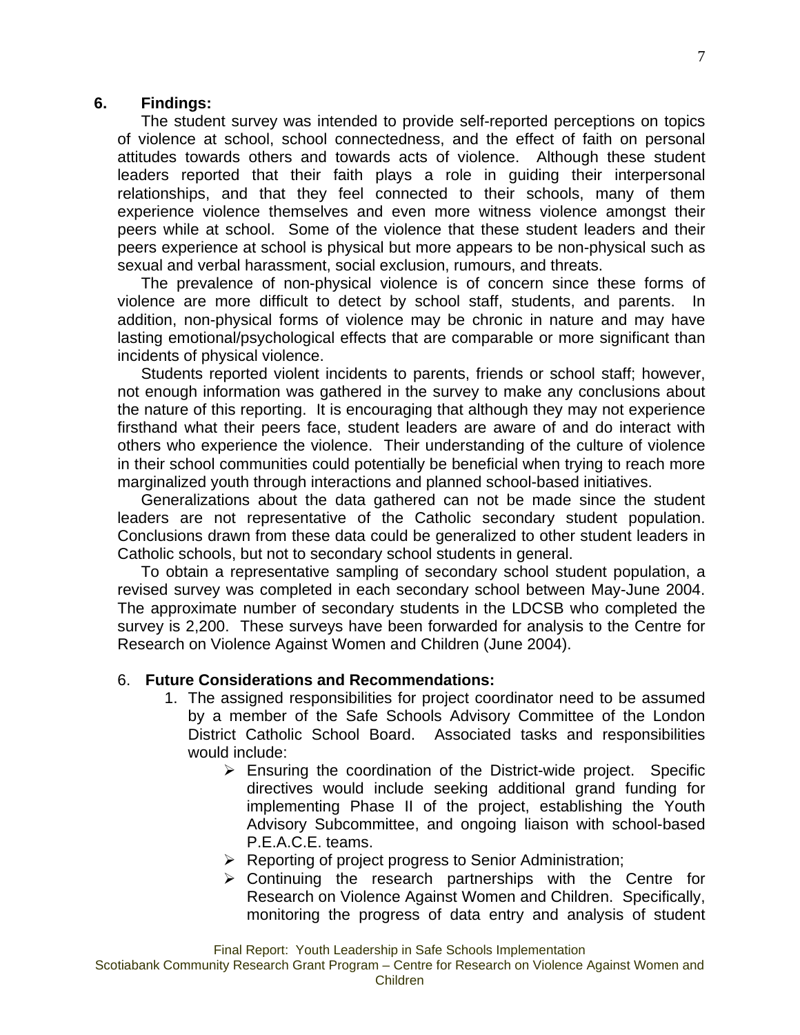#### **6. Findings:**

The student survey was intended to provide self-reported perceptions on topics of violence at school, school connectedness, and the effect of faith on personal attitudes towards others and towards acts of violence. Although these student leaders reported that their faith plays a role in guiding their interpersonal relationships, and that they feel connected to their schools, many of them experience violence themselves and even more witness violence amongst their peers while at school. Some of the violence that these student leaders and their peers experience at school is physical but more appears to be non-physical such as sexual and verbal harassment, social exclusion, rumours, and threats.

The prevalence of non-physical violence is of concern since these forms of violence are more difficult to detect by school staff, students, and parents. In addition, non-physical forms of violence may be chronic in nature and may have lasting emotional/psychological effects that are comparable or more significant than incidents of physical violence.

Students reported violent incidents to parents, friends or school staff; however, not enough information was gathered in the survey to make any conclusions about the nature of this reporting. It is encouraging that although they may not experience firsthand what their peers face, student leaders are aware of and do interact with others who experience the violence. Their understanding of the culture of violence in their school communities could potentially be beneficial when trying to reach more marginalized youth through interactions and planned school-based initiatives.

Generalizations about the data gathered can not be made since the student leaders are not representative of the Catholic secondary student population. Conclusions drawn from these data could be generalized to other student leaders in Catholic schools, but not to secondary school students in general.

To obtain a representative sampling of secondary school student population, a revised survey was completed in each secondary school between May-June 2004. The approximate number of secondary students in the LDCSB who completed the survey is 2,200. These surveys have been forwarded for analysis to the Centre for Research on Violence Against Women and Children (June 2004).

#### 6. **Future Considerations and Recommendations:**

- 1. The assigned responsibilities for project coordinator need to be assumed by a member of the Safe Schools Advisory Committee of the London District Catholic School Board. Associated tasks and responsibilities would include:
	- $\triangleright$  Ensuring the coordination of the District-wide project. Specific directives would include seeking additional grand funding for implementing Phase II of the project, establishing the Youth Advisory Subcommittee, and ongoing liaison with school-based P.E.A.C.E. teams.
	- $\triangleright$  Reporting of project progress to Senior Administration;
	- $\triangleright$  Continuing the research partnerships with the Centre for Research on Violence Against Women and Children. Specifically, monitoring the progress of data entry and analysis of student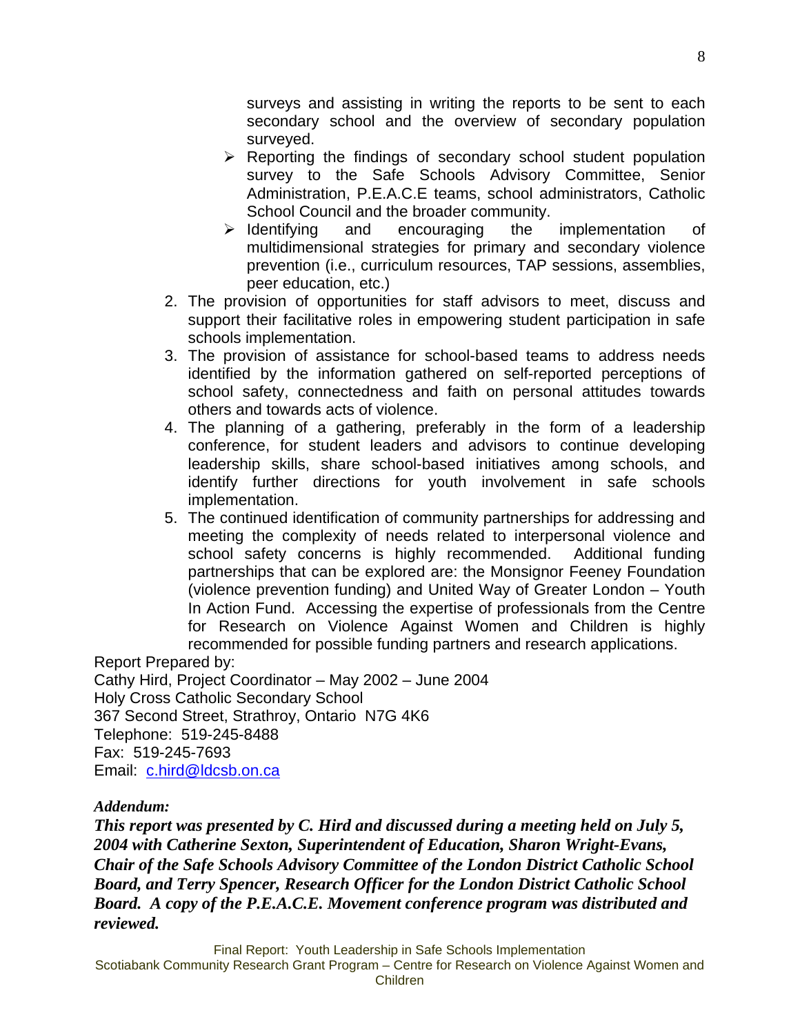surveys and assisting in writing the reports to be sent to each secondary school and the overview of secondary population surveyed.

- $\triangleright$  Reporting the findings of secondary school student population survey to the Safe Schools Advisory Committee, Senior Administration, P.E.A.C.E teams, school administrators, Catholic School Council and the broader community.
- $\triangleright$  Identifying and encouraging the implementation of multidimensional strategies for primary and secondary violence prevention (i.e., curriculum resources, TAP sessions, assemblies, peer education, etc.)
- 2. The provision of opportunities for staff advisors to meet, discuss and support their facilitative roles in empowering student participation in safe schools implementation.
- 3. The provision of assistance for school-based teams to address needs identified by the information gathered on self-reported perceptions of school safety, connectedness and faith on personal attitudes towards others and towards acts of violence.
- 4. The planning of a gathering, preferably in the form of a leadership conference, for student leaders and advisors to continue developing leadership skills, share school-based initiatives among schools, and identify further directions for youth involvement in safe schools implementation.
- 5. The continued identification of community partnerships for addressing and meeting the complexity of needs related to interpersonal violence and school safety concerns is highly recommended. Additional funding partnerships that can be explored are: the Monsignor Feeney Foundation (violence prevention funding) and United Way of Greater London – Youth In Action Fund. Accessing the expertise of professionals from the Centre for Research on Violence Against Women and Children is highly recommended for possible funding partners and research applications.

Report Prepared by: Cathy Hird, Project Coordinator – May 2002 – June 2004 Holy Cross Catholic Secondary School 367 Second Street, Strathroy, Ontario N7G 4K6 Telephone: 519-245-8488 Fax: 519-245-7693 Email: [c.hird@ldcsb.on.ca](mailto:c.hird@ldcsb.on.ca)

# *Addendum:*

*This report was presented by C. Hird and discussed during a meeting held on July 5, 2004 with Catherine Sexton, Superintendent of Education, Sharon Wright-Evans, Chair of the Safe Schools Advisory Committee of the London District Catholic School Board, and Terry Spencer, Research Officer for the London District Catholic School Board. A copy of the P.E.A.C.E. Movement conference program was distributed and reviewed.* 

Final Report: Youth Leadership in Safe Schools Implementation

Scotiabank Community Research Grant Program – Centre for Research on Violence Against Women and Children

8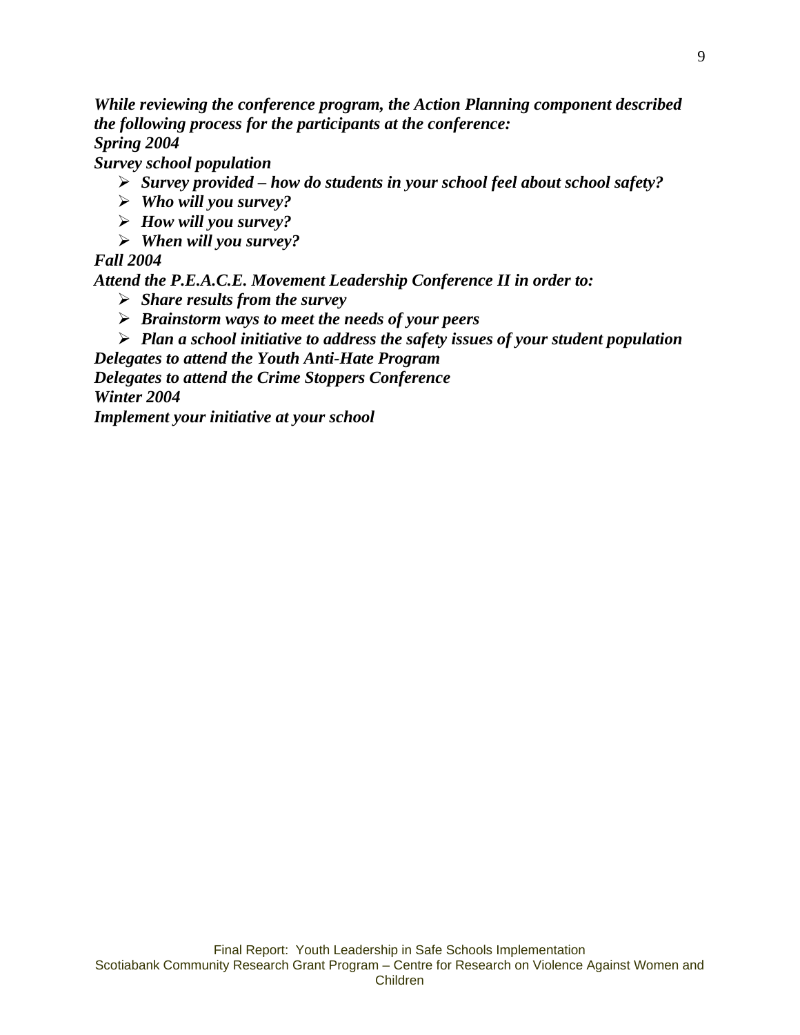*While reviewing the conference program, the Action Planning component described the following process for the participants at the conference: Spring 2004* 

*Survey school population* 

- ¾ *Survey provided how do students in your school feel about school safety?*
- ¾ *Who will you survey?*
- ¾ *How will you survey?*
- ¾ *When will you survey?*

# *Fall 2004*

*Attend the P.E.A.C.E. Movement Leadership Conference II in order to:* 

- ¾ *Share results from the survey*
- ¾ *Brainstorm ways to meet the needs of your peers*
- ¾ *Plan a school initiative to address the safety issues of your student population*

*Delegates to attend the Youth Anti-Hate Program* 

*Delegates to attend the Crime Stoppers Conference* 

*Winter 2004* 

*Implement your initiative at your school*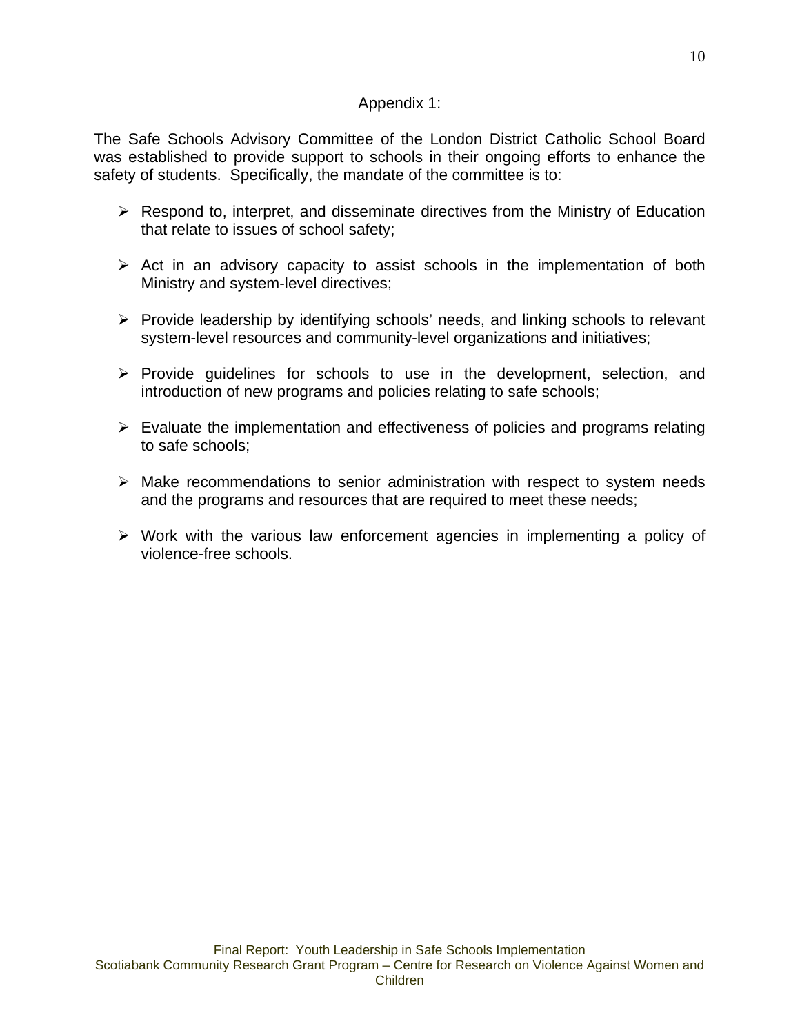# Appendix 1:

The Safe Schools Advisory Committee of the London District Catholic School Board was established to provide support to schools in their ongoing efforts to enhance the safety of students. Specifically, the mandate of the committee is to:

- $\triangleright$  Respond to, interpret, and disseminate directives from the Ministry of Education that relate to issues of school safety;
- $\triangleright$  Act in an advisory capacity to assist schools in the implementation of both Ministry and system-level directives;
- ¾ Provide leadership by identifying schools' needs, and linking schools to relevant system-level resources and community-level organizations and initiatives;
- $\triangleright$  Provide guidelines for schools to use in the development, selection, and introduction of new programs and policies relating to safe schools;
- $\triangleright$  Evaluate the implementation and effectiveness of policies and programs relating to safe schools;
- $\triangleright$  Make recommendations to senior administration with respect to system needs and the programs and resources that are required to meet these needs;
- $\triangleright$  Work with the various law enforcement agencies in implementing a policy of violence-free schools.